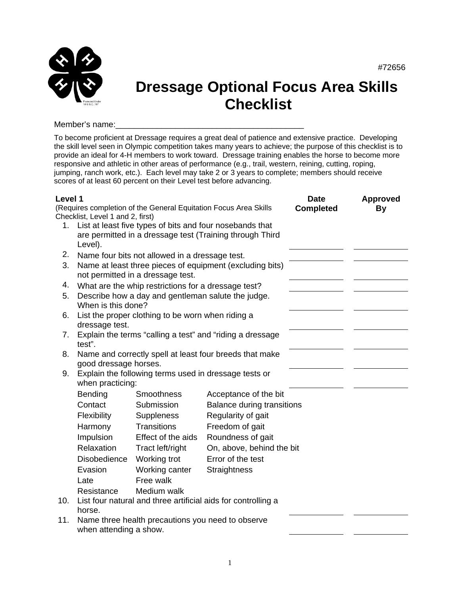

## **Dressage Optional Focus Area Skills Checklist**

Member's name:

To become proficient at Dressage requires a great deal of patience and extensive practice. Developing the skill level seen in Olympic competition takes many years to achieve; the purpose of this checklist is to provide an ideal for 4-H members to work toward. Dressage training enables the horse to become more responsive and athletic in other areas of performance (e.g., trail, western, reining, cutting, roping, jumping, ranch work, etc.). Each level may take 2 or 3 years to complete; members should receive scores of at least 60 percent on their Level test before advancing.

| Level 1 |                                                                                                                      |                                                           |                                                                  | <b>Date</b>      | <b>Approved</b> |
|---------|----------------------------------------------------------------------------------------------------------------------|-----------------------------------------------------------|------------------------------------------------------------------|------------------|-----------------|
|         |                                                                                                                      |                                                           | (Requires completion of the General Equitation Focus Area Skills | <b>Completed</b> | By              |
|         | Checklist, Level 1 and 2, first)                                                                                     |                                                           |                                                                  |                  |                 |
| 1.      | List at least five types of bits and four nosebands that<br>are permitted in a dressage test (Training through Third |                                                           |                                                                  |                  |                 |
|         |                                                                                                                      |                                                           |                                                                  |                  |                 |
|         | Level).                                                                                                              |                                                           |                                                                  |                  |                 |
| 2.      |                                                                                                                      | Name four bits not allowed in a dressage test.            |                                                                  |                  |                 |
| 3.      | Name at least three pieces of equipment (excluding bits)<br>not permitted in a dressage test.                        |                                                           |                                                                  |                  |                 |
| 4.      |                                                                                                                      |                                                           |                                                                  |                  |                 |
|         |                                                                                                                      | What are the whip restrictions for a dressage test?       |                                                                  |                  |                 |
| 5.      | When is this done?                                                                                                   | Describe how a day and gentleman salute the judge.        |                                                                  |                  |                 |
| 6.      | List the proper clothing to be worn when riding a                                                                    |                                                           |                                                                  |                  |                 |
|         | dressage test.                                                                                                       |                                                           |                                                                  |                  |                 |
| 7.      |                                                                                                                      | Explain the terms "calling a test" and "riding a dressage |                                                                  |                  |                 |
|         | test".                                                                                                               |                                                           |                                                                  |                  |                 |
| 8.      |                                                                                                                      |                                                           | Name and correctly spell at least four breeds that make          |                  |                 |
|         | good dressage horses.                                                                                                |                                                           |                                                                  |                  |                 |
| 9.      |                                                                                                                      | Explain the following terms used in dressage tests or     |                                                                  |                  |                 |
|         | when practicing:                                                                                                     |                                                           |                                                                  |                  |                 |
|         | Bending                                                                                                              | <b>Smoothness</b>                                         | Acceptance of the bit                                            |                  |                 |
|         | Contact                                                                                                              | Submission                                                | <b>Balance during transitions</b>                                |                  |                 |
|         | Flexibility                                                                                                          | <b>Suppleness</b>                                         | Regularity of gait                                               |                  |                 |
|         | Harmony                                                                                                              | <b>Transitions</b>                                        | Freedom of gait                                                  |                  |                 |
|         | Impulsion                                                                                                            | Effect of the aids                                        | Roundness of gait                                                |                  |                 |
|         | Relaxation                                                                                                           | Tract left/right                                          | On, above, behind the bit                                        |                  |                 |
|         | Disobedience                                                                                                         | Working trot                                              | Error of the test                                                |                  |                 |
|         | Evasion                                                                                                              | Working canter                                            | Straightness                                                     |                  |                 |
|         | Late                                                                                                                 | Free walk                                                 |                                                                  |                  |                 |
|         | Resistance                                                                                                           | Medium walk                                               |                                                                  |                  |                 |
| 10.     | List four natural and three artificial aids for controlling a                                                        |                                                           |                                                                  |                  |                 |
|         | horse.                                                                                                               |                                                           |                                                                  |                  |                 |
| 11.     | Name three health precautions you need to observe                                                                    |                                                           |                                                                  |                  |                 |
|         | when attending a show.                                                                                               |                                                           |                                                                  |                  |                 |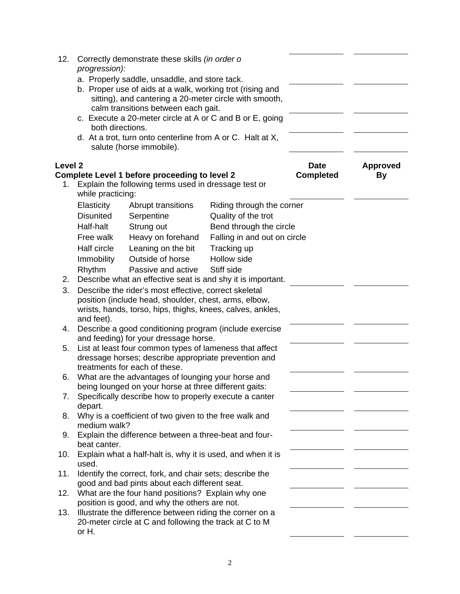| 12.                | progression):                                                          | Correctly demonstrate these skills (in order o                                                                                                             |                                 |                       |  |
|--------------------|------------------------------------------------------------------------|------------------------------------------------------------------------------------------------------------------------------------------------------------|---------------------------------|-----------------------|--|
|                    |                                                                        | a. Properly saddle, unsaddle, and store tack.                                                                                                              |                                 |                       |  |
|                    |                                                                        | b. Proper use of aids at a walk, working trot (rising and<br>sitting), and cantering a 20-meter circle with smooth,<br>calm transitions between each gait. |                                 |                       |  |
|                    | both directions.                                                       | c. Execute a 20-meter circle at A or C and B or E, going                                                                                                   |                                 |                       |  |
|                    |                                                                        | d. At a trot, turn onto centerline from A or C. Halt at X,<br>salute (horse immobile).                                                                     |                                 |                       |  |
| Level <sub>2</sub> |                                                                        | Complete Level 1 before proceeding to level 2                                                                                                              | <b>Date</b><br><b>Completed</b> | <b>Approved</b><br>By |  |
| 1.                 | while practicing:                                                      | Explain the following terms used in dressage test or                                                                                                       |                                 |                       |  |
|                    | Elasticity                                                             | Abrupt transitions                                                                                                                                         | Riding through the corner       |                       |  |
|                    | <b>Disunited</b>                                                       | Serpentine                                                                                                                                                 | Quality of the trot             |                       |  |
|                    | Half-halt                                                              | Strung out                                                                                                                                                 | Bend through the circle         |                       |  |
|                    | Free walk                                                              | Heavy on forehand                                                                                                                                          | Falling in and out on circle    |                       |  |
|                    | Half circle                                                            | Leaning on the bit                                                                                                                                         | Tracking up                     |                       |  |
|                    | Immobility                                                             | Outside of horse                                                                                                                                           | Hollow side                     |                       |  |
|                    | Rhythm                                                                 | Passive and active                                                                                                                                         | Stiff side                      |                       |  |
| 2.                 |                                                                        | Describe what an effective seat is and shy it is important.                                                                                                |                                 |                       |  |
| 3.                 |                                                                        | Describe the rider's most effective, correct skeletal                                                                                                      |                                 |                       |  |
|                    |                                                                        | position (include head, shoulder, chest, arms, elbow,                                                                                                      |                                 |                       |  |
|                    |                                                                        | wrists, hands, torso, hips, thighs, knees, calves, ankles,                                                                                                 |                                 |                       |  |
|                    | and feet).                                                             |                                                                                                                                                            |                                 |                       |  |
| 4.                 |                                                                        | Describe a good conditioning program (include exercise<br>and feeding) for your dressage horse.                                                            |                                 |                       |  |
| 5.                 |                                                                        | List at least four common types of lameness that affect                                                                                                    |                                 |                       |  |
|                    |                                                                        | dressage horses; describe appropriate prevention and                                                                                                       |                                 |                       |  |
|                    | treatments for each of these.                                          |                                                                                                                                                            |                                 |                       |  |
| 6.                 | What are the advantages of lounging your horse and                     |                                                                                                                                                            |                                 |                       |  |
|                    |                                                                        | being lounged on your horse at three different gaits:                                                                                                      |                                 |                       |  |
| 7.                 |                                                                        | Specifically describe how to properly execute a canter                                                                                                     |                                 |                       |  |
|                    | depart.                                                                |                                                                                                                                                            |                                 |                       |  |
| 8.                 | Why is a coefficient of two given to the free walk and<br>medium walk? |                                                                                                                                                            |                                 |                       |  |
| 9.                 |                                                                        | Explain the difference between a three-beat and four-                                                                                                      |                                 |                       |  |
|                    | beat canter.                                                           |                                                                                                                                                            |                                 |                       |  |
| 10.                |                                                                        | Explain what a half-halt is, why it is used, and when it is                                                                                                |                                 |                       |  |
|                    | used.                                                                  |                                                                                                                                                            |                                 |                       |  |
| 11.                |                                                                        | Identify the correct, fork, and chair sets; describe the                                                                                                   |                                 |                       |  |
|                    |                                                                        | good and bad pints about each different seat.                                                                                                              |                                 |                       |  |
| 12.                |                                                                        | What are the four hand positions? Explain why one                                                                                                          |                                 |                       |  |
|                    | position is good, and why the others are not.                          |                                                                                                                                                            |                                 |                       |  |
| 13.                | Illustrate the difference between riding the corner on a               |                                                                                                                                                            |                                 |                       |  |
|                    | or H.                                                                  | 20-meter circle at C and following the track at C to M                                                                                                     |                                 |                       |  |